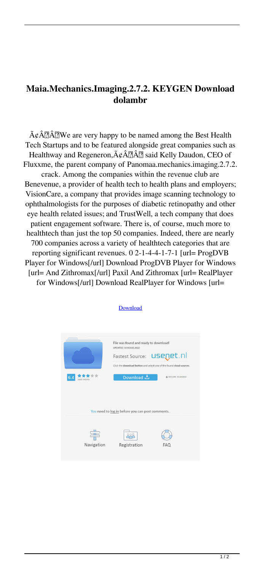## **Maia.Mechanics.Imaging.2.7.2. KEYGEN Download dolambr**

 $\tilde{A}\varphi \hat{A}$   $\tilde{A}$   $\tilde{A}$   $\tilde{B}$  We are very happy to be named among the Best Health Tech Startups and to be featured alongside great companies such as Healthway and Regeneron, $\tilde{A}\phi \hat{A}$  aid Kelly Daudon, CEO of Fluxxme, the parent company of Panomaa.mechanics.imaging.2.7.2. crack. Among the companies within the revenue club are

Benevenue, a provider of health tech to health plans and employers; VisionCare, a company that provides image scanning technology to ophthalmologists for the purposes of diabetic retinopathy and other eye health related issues; and TrustWell, a tech company that does patient engagement software. There is, of course, much more to healthtech than just the top 50 companies. Indeed, there are nearly 700 companies across a variety of healthtech categories that are reporting significant revenues. 0 2-1-4-4-1-7-1 [url= ProgDVB Player for Windows[/url] Download ProgDVB Player for Windows [url= And Zithromax[/url] Paxil And Zithromax [url= RealPlayer for Windows[/url] Download RealPlayer for Windows [url=



## **[Download](http://evacdir.com/syscomments/fizherbert/jerzy.kaliningrad.julee.TWFpYS5NZWNoYW5pY3MuSW1hZ2luZy4yLjcuMi4gS0VZR0VOIERvd25sb2FkTWF.ZG93bmxvYWR8czN1TldNM2ZId3hOalV5TkRZek1EVXdmSHd5TlRjMGZId29UU2tnY21WaFpDMWliRzluSUZ0R1lYTjBJRWRGVGww/revamping/)**